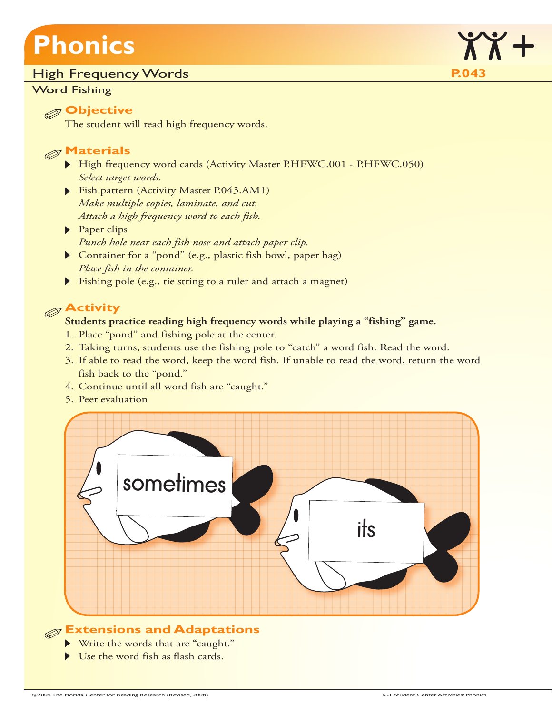# **Phonics**

#### High Frequency Words **P.043**

#### Word Fishing



#### **Objective**

The student will read high frequency words.

### **Materials**

- High frequency word cards (Activity Master P.HFWC.001 P.HFWC.050) *Select target words.*
- Fish pattern (Activity Master P.043.AM1) *Make multiple copies, laminate, and cut. Attach a high frequency word to each fish.*
- Paper clips *Punch hole near each fish nose and attach paper clip.*
- Container for a "pond" (e.g., plastic fish bowl, paper bag) *Place fish in the container.*
- Fishing pole (e.g., tie string to a ruler and attach a magnet)

## **Activity**

#### **Students practice reading high frequency words while playing a "fishing" game.**

- 1. Place "pond" and fishing pole at the center.
- 2. Taking turns, students use the fishing pole to "catch" a word fish. Read the word.
- 3. If able to read the word, keep the word fish. If unable to read the word, return the word fish back to the "pond."
- 4. Continue until all word fish are "caught."
- 5. Peer evaluation



## **Extensions and Adaptations**

- Write the words that are "caught."
- Use the word fish as flash cards.